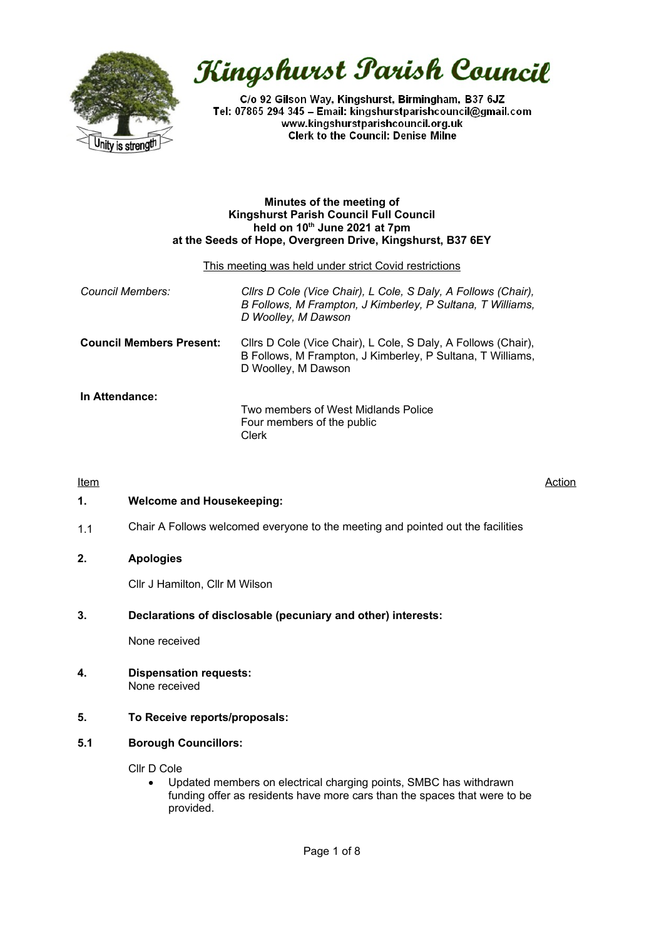

# Kingshurst Parish Council

C/o 92 Gilson Way, Kingshurst, Birmingham, B37 6JZ Tel: 07865 294 345 - Email: kingshurstparishcouncil@gmail.com www.kingshurstparishcouncil.org.uk **Clerk to the Council: Denise Milne** 

#### **Minutes of the meeting of Kingshurst Parish Council Full Council held on 10th June 2021 at 7pm at the Seeds of Hope, Overgreen Drive, Kingshurst, B37 6EY**

#### This meeting was held under strict Covid restrictions

| Council Members:                | Clirs D Cole (Vice Chair), L Cole, S Daly, A Follows (Chair),<br>B Follows, M Frampton, J Kimberley, P Sultana, T Williams,<br>D Woolley, M Dawson |
|---------------------------------|----------------------------------------------------------------------------------------------------------------------------------------------------|
| <b>Council Members Present:</b> | Cllrs D Cole (Vice Chair), L Cole, S Daly, A Follows (Chair),<br>B Follows, M Frampton, J Kimberley, P Sultana, T Williams,<br>D Woolley, M Dawson |
| In Attendance:                  | Two members of West Midlands Police<br>Four members of the public<br>Clerk                                                                         |

## <u>Item Action</u>

#### **1. Welcome and Housekeeping:**

1.1 Chair A Follows welcomed everyone to the meeting and pointed out the facilities

## **2. Apologies**

Cllr J Hamilton, Cllr M Wilson

## **3. Declarations of disclosable (pecuniary and other) interests:**

None received

**4. Dispensation requests:** None received

#### **5. To Receive reports/proposals:**

#### **5.1 Borough Councillors:**

Cllr D Cole

 Updated members on electrical charging points, SMBC has withdrawn funding offer as residents have more cars than the spaces that were to be provided.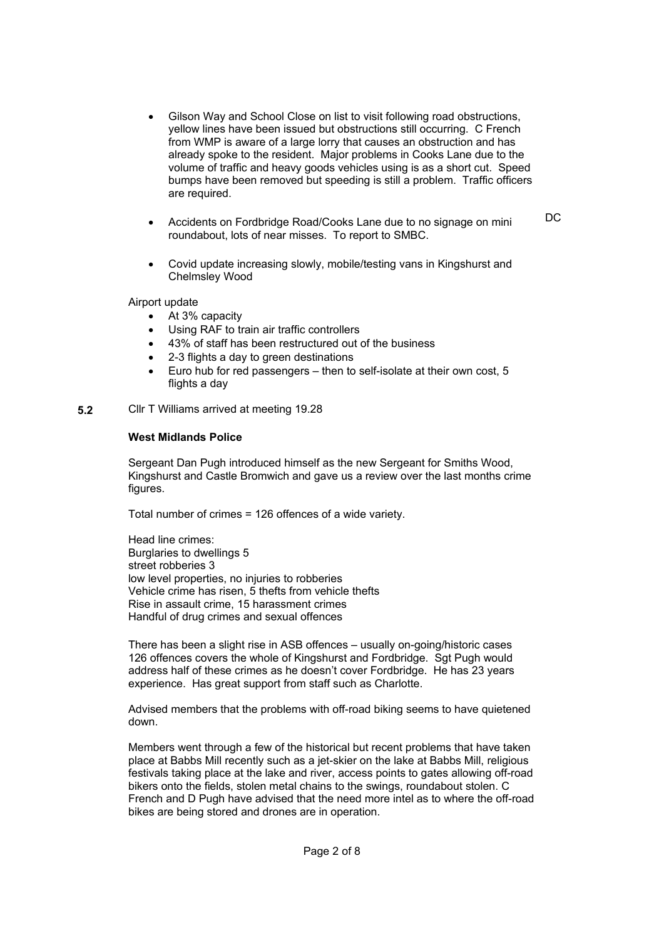- Gilson Way and School Close on list to visit following road obstructions, yellow lines have been issued but obstructions still occurring. C French from WMP is aware of a large lorry that causes an obstruction and has already spoke to the resident. Major problems in Cooks Lane due to the volume of traffic and heavy goods vehicles using is as a short cut. Speed bumps have been removed but speeding is still a problem. Traffic officers are required.
- Accidents on Fordbridge Road/Cooks Lane due to no signage on mini roundabout, lots of near misses. To report to SMBC.

DC

 Covid update increasing slowly, mobile/testing vans in Kingshurst and Chelmsley Wood

#### Airport update

- At 3% capacity
- Using RAF to train air traffic controllers
- 43% of staff has been restructured out of the business
- 2-3 flights a day to green destinations
- Euro hub for red passengers then to self-isolate at their own cost, 5 flights a day
- **5.2** Cllr T Williams arrived at meeting 19.28

#### **West Midlands Police**

Sergeant Dan Pugh introduced himself as the new Sergeant for Smiths Wood, Kingshurst and Castle Bromwich and gave us a review over the last months crime figures.

Total number of crimes = 126 offences of a wide variety.

Head line crimes: Burglaries to dwellings 5 street robberies 3 low level properties, no injuries to robberies Vehicle crime has risen, 5 thefts from vehicle thefts Rise in assault crime, 15 harassment crimes Handful of drug crimes and sexual offences

There has been a slight rise in ASB offences – usually on-going/historic cases 126 offences covers the whole of Kingshurst and Fordbridge. Sgt Pugh would address half of these crimes as he doesn't cover Fordbridge. He has 23 years experience. Has great support from staff such as Charlotte.

Advised members that the problems with off-road biking seems to have quietened down.

Members went through a few of the historical but recent problems that have taken place at Babbs Mill recently such as a jet-skier on the lake at Babbs Mill, religious festivals taking place at the lake and river, access points to gates allowing off-road bikers onto the fields, stolen metal chains to the swings, roundabout stolen. C French and D Pugh have advised that the need more intel as to where the off-road bikes are being stored and drones are in operation.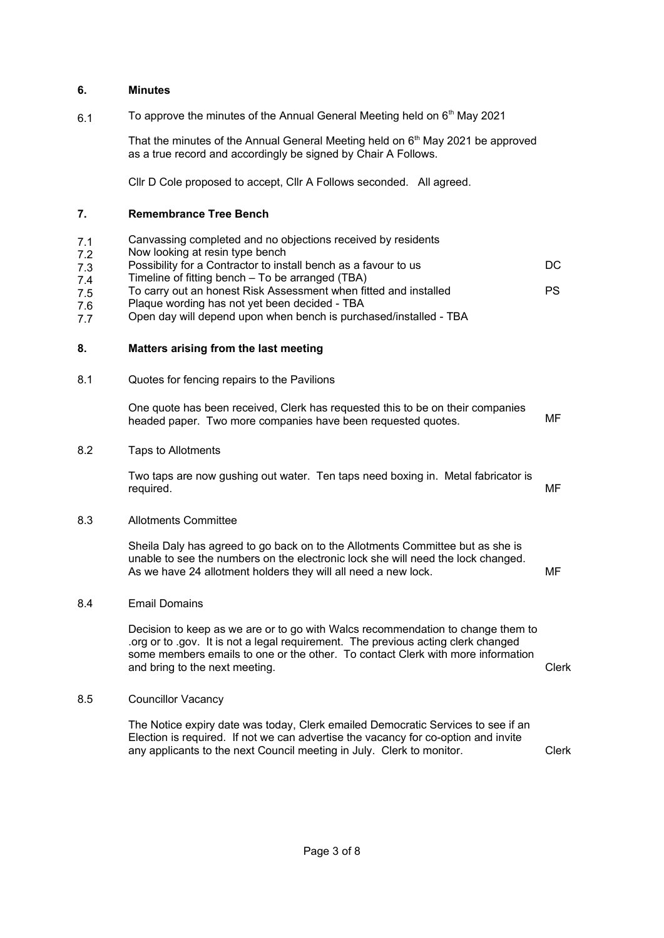#### **6. Minutes**

6.1 To approve the minutes of the Annual General Meeting held on  $6<sup>th</sup>$  May 2021

> That the minutes of the Annual General Meeting held on  $6<sup>th</sup>$  May 2021 be approved as a true record and accordingly be signed by Chair A Follows.

Cllr D Cole proposed to accept, Cllr A Follows seconded. All agreed.

#### **7. Remembrance Tree Bench**

- 7.1 Canvassing completed and no objections received by residents
- 7.2 Now looking at resin type bench
- 7.3 7.4 Possibility for a Contractor to install bench as a favour to us Timeline of fitting bench – To be arranged (TBA)  $DC$
- 7.5 To carry out an honest Risk Assessment when fitted and installed PS
- 7.6 Plaque wording has not yet been decided - TBA
- 7.7 Open day will depend upon when bench is purchased/installed - TBA

#### **8. Matters arising from the last meeting**

8.1 Quotes for fencing repairs to the Pavilions

One quote has been received, Clerk has requested this to be on their companies headed paper. Two more companies have been requested quotes.

#### 8.2 Taps to Allotments

Two taps are now gushing out water. Ten taps need boxing in. Metal fabricator is required. MF

## 8.3 Allotments Committee

Sheila Daly has agreed to go back on to the Allotments Committee but as she is unable to see the numbers on the electronic lock she will need the lock changed. As we have 24 allotment holders they will all need a new lock. The manner of MF

#### 8.4 Email Domains

Decision to keep as we are or to go with Walcs recommendation to change them to .org or to .gov. It is not a legal requirement. The previous acting clerk changed some members emails to one or the other. To contact Clerk with more information and bring to the next meeting. The next meeting of the next meeting.

#### 8.5 Councillor Vacancy

The Notice expiry date was today, Clerk emailed Democratic Services to see if an Election is required. If not we can advertise the vacancy for co-option and invite any applicants to the next Council meeting in July. Clerk to monitor. Clerk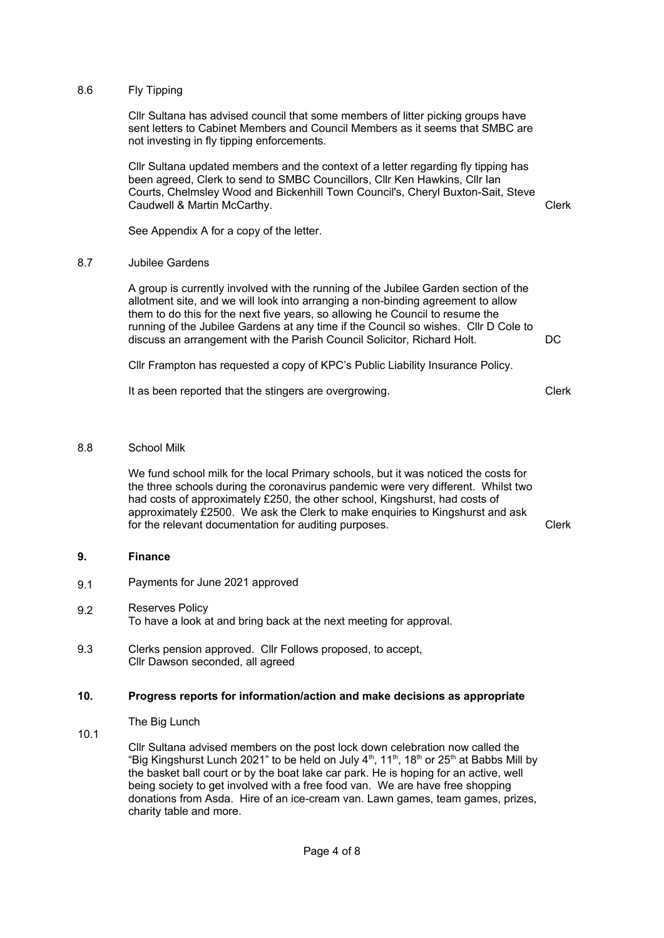### 8.6 Fly Tipping

Cllr Sultana has advised council that some members of litter picking groups have sent letters to Cabinet Members and Council Members as it seems that SMBC are not investing in fly tipping enforcements.

Cllr Sultana updated members and the context of a letter regarding fly tipping has been agreed, Clerk to send to SMBC Councillors, Cllr Ken Hawkins, Cllr Ian Courts, Chelmsley Wood and Bickenhill Town Council's, Cheryl Buxton-Sait, Steve Caudwell & Martin McCarthy.

See Appendix A for a copy of the letter.

#### 8.7 Jubilee Gardens

A group is currently involved with the running of the Jubilee Garden section of the allotment site, and we will look into arranging a non-binding agreement to allow them to do this for the next five years, so allowing he Council to resume the running of the Jubilee Gardens at any time if the Council so wishes. Cllr D Cole to discuss an arrangement with the Parish Council Solicitor, Richard Holt.

Cllr Frampton has requested a copy of KPC's Public Liability Insurance Policy.

It as been reported that the stingers are overgrowing.

Clerk

 $DC$ 

Clerk

#### 8.8 School Milk

We fund school milk for the local Primary schools, but it was noticed the costs for the three schools during the coronavirus pandemic were very different. Whilst two had costs of approximately £250, the other school, Kingshurst, had costs of approximately £2500. We ask the Clerk to make enquiries to Kingshurst and ask for the relevant documentation for auditing purposes. The relevant documentation of auditing purposes.

#### **9. Finance**

- 9.1 Payments for June 2021 approved
- 9.2 Reserves Policy To have a look at and bring back at the next meeting for approval.
- 9.3 Clerks pension approved. Cllr Follows proposed, to accept, Cllr Dawson seconded, all agreed

#### **10. Progress reports for information/action and make decisions as appropriate**

The Big Lunch

10.1

Cllr Sultana advised members on the post lock down celebration now called the "Big Kingshurst Lunch 2021" to be held on July  $4<sup>th</sup>$ , 11<sup>th</sup>, 18<sup>th</sup> or 25<sup>th</sup> at Babbs Mill by the basket ball court or by the boat lake car park. He is hoping for an active, well being society to get involved with a free food van. We are have free shopping donations from Asda. Hire of an ice-cream van. Lawn games, team games, prizes, charity table and more.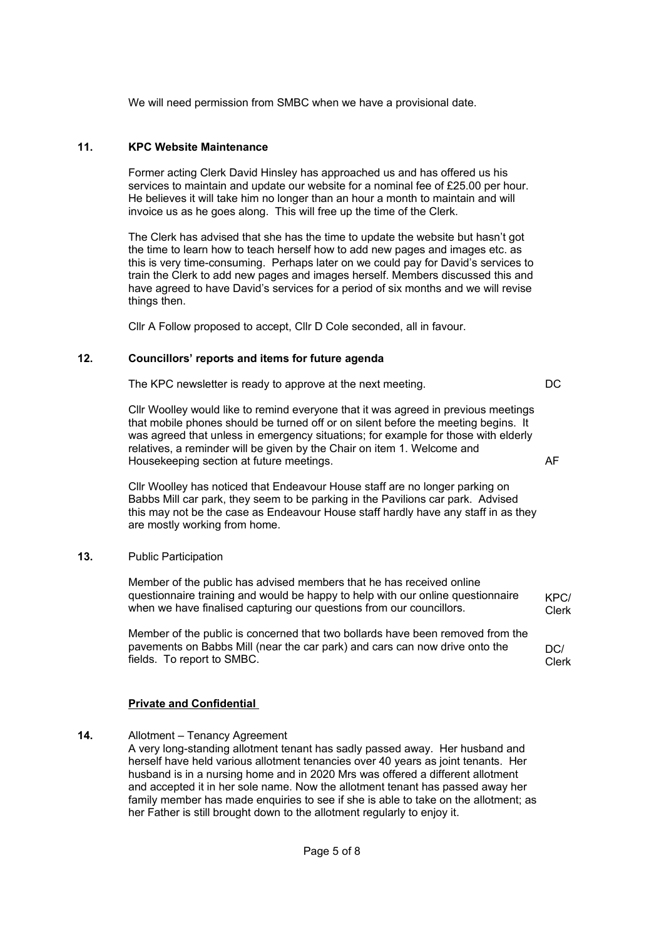We will need permission from SMBC when we have a provisional date.

### **11. KPC Website Maintenance**

Former acting Clerk David Hinsley has approached us and has offered us his services to maintain and update our website for a nominal fee of £25.00 per hour. He believes it will take him no longer than an hour a month to maintain and will invoice us as he goes along. This will free up the time of the Clerk.

The Clerk has advised that she has the time to update the website but hasn't got the time to learn how to teach herself how to add new pages and images etc. as this is very time-consuming. Perhaps later on we could pay for David's services to train the Clerk to add new pages and images herself. Members discussed this and have agreed to have David's services for a period of six months and we will revise things then.

Cllr A Follow proposed to accept, Cllr D Cole seconded, all in favour.

## **12. Councillors' reports and items for future agenda**

The KPC newsletter is ready to approve at the next meeting.

DC

AF

Cllr Woolley would like to remind everyone that it was agreed in previous meetings that mobile phones should be turned off or on silent before the meeting begins. It was agreed that unless in emergency situations; for example for those with elderly relatives, a reminder will be given by the Chair on item 1. Welcome and Housekeeping section at future meetings.

Cllr Woolley has noticed that Endeavour House staff are no longer parking on Babbs Mill car park, they seem to be parking in the Pavilions car park. Advised this may not be the case as Endeavour House staff hardly have any staff in as they are mostly working from home.

#### **13.** Public Participation

Member of the public has advised members that he has received online questionnaire training and would be happy to help with our online questionnaire when we have finalised capturing our questions from our councillors. KPC/ Clerk

Member of the public is concerned that two bollards have been removed from the pavements on Babbs Mill (near the car park) and cars can now drive onto the fields. To report to SMBC.

 $DC/$ Clerk

#### **Private and Confidential**

**14.** Allotment – Tenancy Agreement

A very long-standing allotment tenant has sadly passed away. Her husband and herself have held various allotment tenancies over 40 years as joint tenants. Her husband is in a nursing home and in 2020 Mrs was offered a different allotment and accepted it in her sole name. Now the allotment tenant has passed away her family member has made enquiries to see if she is able to take on the allotment; as her Father is still brought down to the allotment regularly to enjoy it.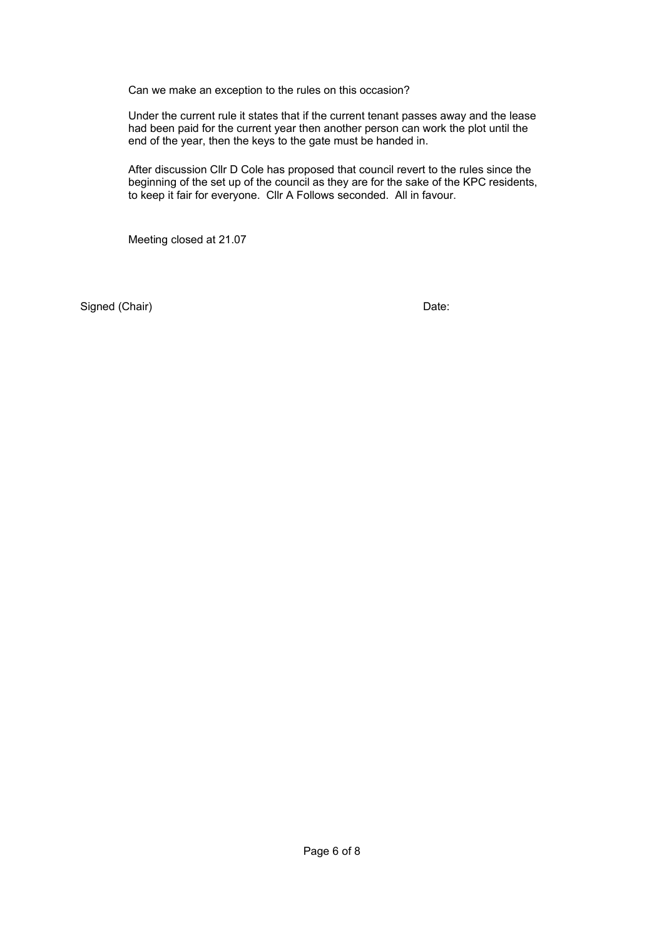Can we make an exception to the rules on this occasion?

Under the current rule it states that if the current tenant passes away and the lease had been paid for the current year then another person can work the plot until the end of the year, then the keys to the gate must be handed in.

After discussion Cllr D Cole has proposed that council revert to the rules since the beginning of the set up of the council as they are for the sake of the KPC residents, to keep it fair for everyone. Cllr A Follows seconded. All in favour.

Meeting closed at 21.07

Signed (Chair) Date: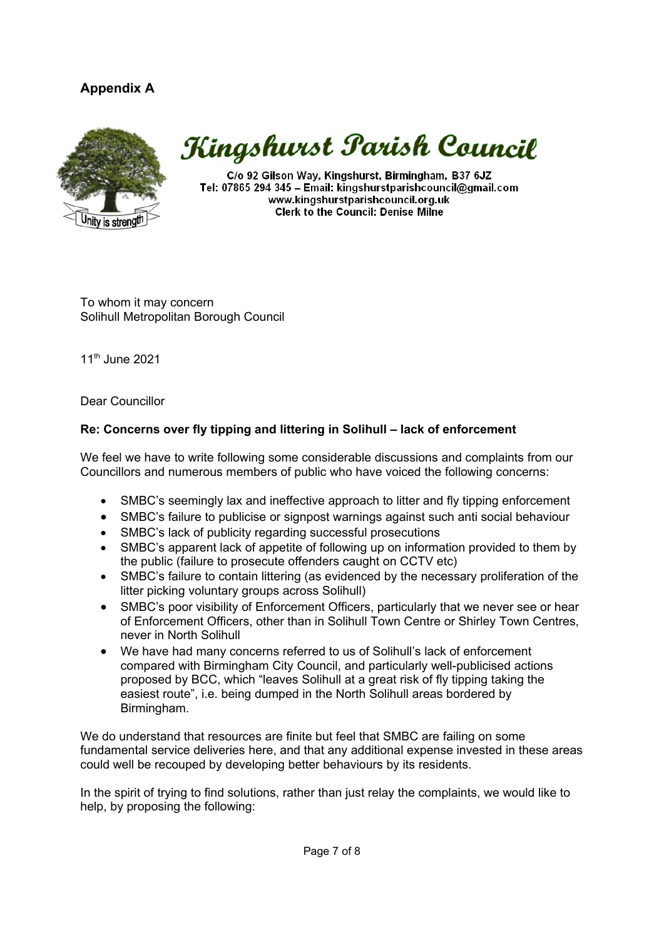## **Appendix A**



## Kingshurst Parish Council

C/o 92 Gilson Way, Kingshurst, Birmingham, B37 6JZ Tel: 07865 294 345 - Email: kingshurstparishcouncil@gmail.com www.kingshurstparishcouncil.org.uk **Clerk to the Council: Denise Milne** 

To whom it may concern Solihull Metropolitan Borough Council

11th June 2021

Dear Councillor

## **Re: Concerns over fly tipping and littering in Solihull – lack of enforcement**

We feel we have to write following some considerable discussions and complaints from our Councillors and numerous members of public who have voiced the following concerns:

- SMBC's seemingly lax and ineffective approach to litter and fly tipping enforcement
- SMBC's failure to publicise or signpost warnings against such anti social behaviour
- SMBC's lack of publicity regarding successful prosecutions
- SMBC's apparent lack of appetite of following up on information provided to them by the public (failure to prosecute offenders caught on CCTV etc)
- SMBC's failure to contain littering (as evidenced by the necessary proliferation of the litter picking voluntary groups across Solihull)
- SMBC's poor visibility of Enforcement Officers, particularly that we never see or hear of Enforcement Officers, other than in Solihull Town Centre or Shirley Town Centres, never in North Solihull
- We have had many concerns referred to us of Solihull's lack of enforcement compared with Birmingham City Council, and particularly well-publicised actions proposed by BCC, which "leaves Solihull at a great risk of fly tipping taking the easiest route", i.e. being dumped in the North Solihull areas bordered by Birmingham.

We do understand that resources are finite but feel that SMBC are failing on some fundamental service deliveries here, and that any additional expense invested in these areas could well be recouped by developing better behaviours by its residents.

In the spirit of trying to find solutions, rather than just relay the complaints, we would like to help, by proposing the following: